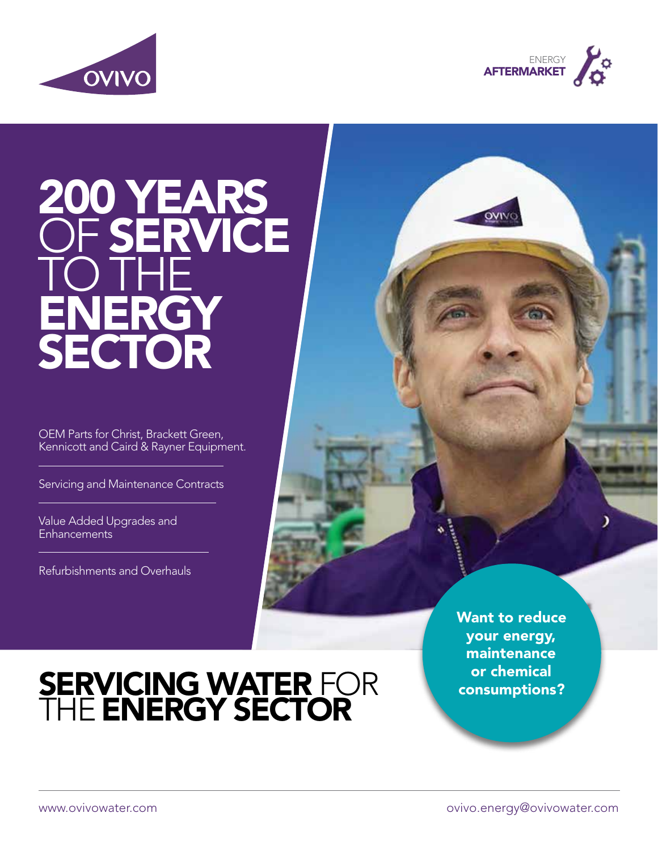



# 200 YEARS OF **SERVICE** TO THE ENERGY SECTOR

OEM Parts for Christ, Brackett Green, Kennicott and Caird & Rayner Equipment.

Servicing and Maintenance Contracts

Value Added Upgrades and **Enhancements** 

Refurbishments and Overhauls

Want to reduce your energy, maintenance or chemical consumptions?

)

# SERVICING WATER FOR THE **ENERGY SECTOR**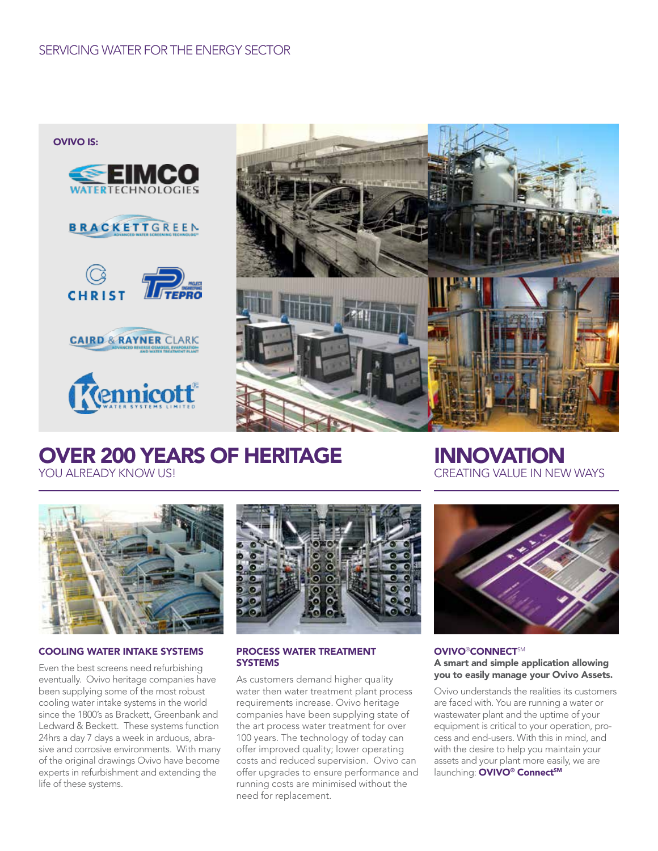OVIVO IS:













#### OVER 200 YEARS OF HERITAGE YOU ALREADY KNOW US!

**INNOVATION** CREATING VALUE IN NEW WAYS



#### COOLING WATER INTAKE SYSTEMS

Even the best screens need refurbishing eventually. Ovivo heritage companies have been supplying some of the most robust cooling water intake systems in the world since the 1800's as Brackett, Greenbank and Ledward & Beckett. These systems function 24hrs a day 7 days a week in arduous, abrasive and corrosive environments. With many of the original drawings Ovivo have become experts in refurbishment and extending the life of these systems.



#### PROCESS WATER TREATMENT **SYSTEMS**

As customers demand higher quality water then water treatment plant process requirements increase. Ovivo heritage companies have been supplying state of the art process water treatment for over 100 years. The technology of today can offer improved quality; lower operating costs and reduced supervision. Ovivo can offer upgrades to ensure performance and running costs are minimised without the need for replacement.



#### **OVIVO®CONNECTSM** A smart and simple application allowing you to easily manage your Ovivo Assets.

Ovivo understands the realities its customers are faced with. You are running a water or wastewater plant and the uptime of your equipment is critical to your operation, process and end-users. With this in mind, and with the desire to help you maintain your assets and your plant more easily, we are launching: OVIVO® Connect<sup>SM</sup>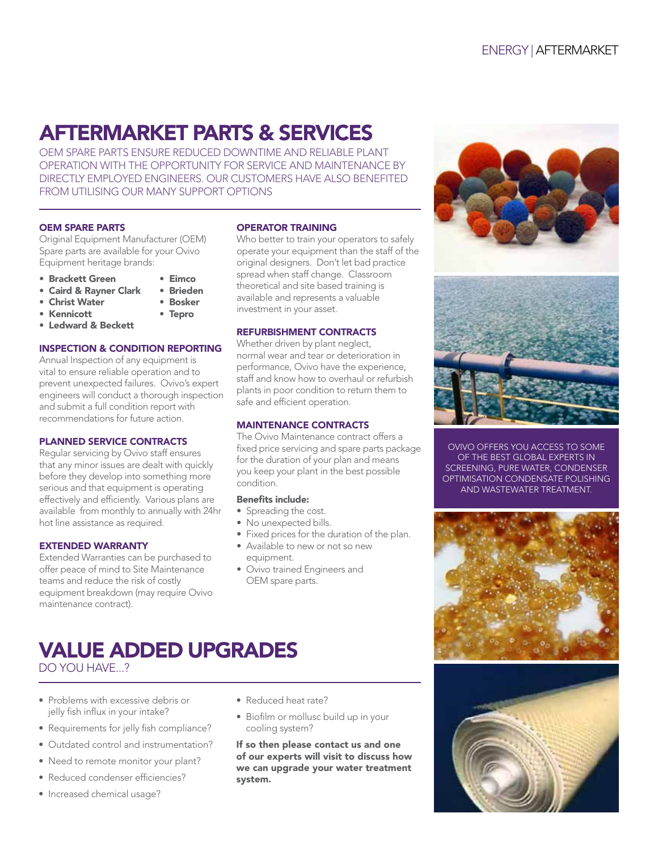### AFTERMARKET PARTS & SERVICES

OEM SPARE PARTS ENSURE REDUCED DOWNTIME AND RELIABLE PLANT OPERATION WITH THE OPPORTUNITY FOR SERVICE AND MAINTENANCE BY DIRECTLY EMPLOYED ENGINEERS. OUR CUSTOMERS HAVE ALSO BENEFITED FROM UTILISING OUR MANY SUPPORT OPTIONS

#### OEM SPARE PARTS

Original Equipment Manufacturer (OEM) Spare parts are available for your Ovivo Equipment heritage brands:

- Brackett Green Eimco
- Caird & Rayner Clark Brieden
- $\bullet$  Christ Water
- Kennicott Tepro
- Ledward & Beckett

#### INSPECTION & CONDITION REPORTING

Annual Inspection of any equipment is vital to ensure reliable operation and to prevent unexpected failures. Ovivo's expert engineers will conduct a thorough inspection and submit a full condition report with recommendations for future action.

#### PLANNED SERVICE CONTRACTS

Regular servicing by Ovivo staff ensures that any minor issues are dealt with quickly before they develop into something more serious and that equipment is operating effectively and efficiently. Various plans are available from monthly to annually with 24hr hot line assistance as required.

#### EXTENDED WARRANTY

Extended Warranties can be purchased to offer peace of mind to Site Maintenance teams and reduce the risk of costly equipment breakdown (may require Ovivo maintenance contract).

#### OPERATOR TRAINING

Who better to train your operators to safely operate your equipment than the staff of the original designers. Don't let bad practice spread when staff change. Classroom theoretical and site based training is available and represents a valuable investment in your asset.

#### REFURBISHMENT CONTRACTS

Whether driven by plant neglect, normal wear and tear or deterioration in performance, Ovivo have the experience, staff and know how to overhaul or refurbish plants in poor condition to return them to safe and efficient operation.

#### MAINTENANCE CONTRACTS

The Ovivo Maintenance contract offers a fixed price servicing and spare parts package for the duration of your plan and means you keep your plant in the best possible condition.

#### Benefits include:

- Spreading the cost.
- No unexpected bills.
- Fixed prices for the duration of the plan.
- Available to new or not so new equipment.
- Ovivo trained Engineers and OEM spare parts.

### VALUE ADDED UPGRADES

DO YOU HAVE...?

- Problems with excessive debris or jelly fish influx in your intake?
- Requirements for jelly fish compliance?
- Outdated control and instrumentation?
- Need to remote monitor your plant?
- Reduced condenser efficiencies?
- Increased chemical usage?
- Reduced heat rate?
- Biofilm or mollusc build up in your cooling system?

If so then please contact us and one of our experts will visit to discuss how we can upgrade your water treatment system.



OVIVO OFFERS YOU ACCESS TO SOME OF THE BEST GLOBAL EXPERTS IN SCREENING, PURE WATER, CONDENSER OPTIMISATION CONDENSATE POLISHING AND WASTEWATER TREATMENT.